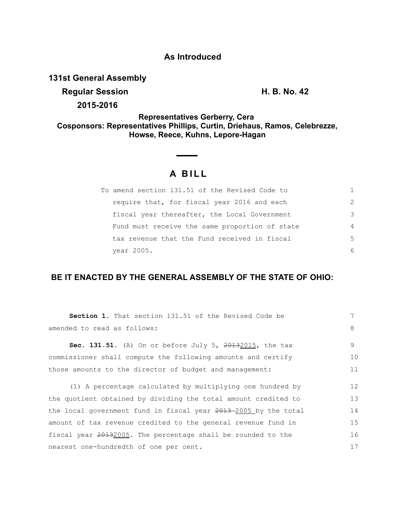### **As Introduced**

## **131st General Assembly**

**Regular Session H. B. No. 42** 

**2015-2016**

**Representatives Gerberry, Cera Cosponsors: Representatives Phillips, Curtin, Driehaus, Ramos, Celebrezze, Howse, Reece, Kuhns, Lepore-Hagan**

# **A BILL**

| To amend section 131.51 of the Revised Code to |               |
|------------------------------------------------|---------------|
| require that, for fiscal year 2016 and each    | $\mathcal{L}$ |
| fiscal year thereafter, the Local Government   | 3             |
| Fund must receive the same proportion of state | 4             |
| tax revenue that the Fund received in fiscal   | .5            |
| vear 2005.                                     | 6             |

## **BE IT ENACTED BY THE GENERAL ASSEMBLY OF THE STATE OF OHIO:**

| <b>Section 1.</b> That section 131.51 of the Revised Code be      | 7  |
|-------------------------------------------------------------------|----|
| amended to read as follows:                                       | 8  |
| <b>Sec. 131.51.</b> (A) On or before July 5, $20132015$ , the tax | 9  |
| commissioner shall compute the following amounts and certify      | 10 |
| those amounts to the director of budget and management:           |    |
| (1) A percentage calculated by multiplying one hundred by         | 12 |
| the quotient obtained by dividing the total amount credited to    | 13 |
| the local government fund in fiscal year 2013-2005 by the total   | 14 |
| amount of tax revenue credited to the general revenue fund in     | 15 |
| fiscal year 20132005. The percentage shall be rounded to the      |    |
| nearest one-hundredth of one per cent.                            |    |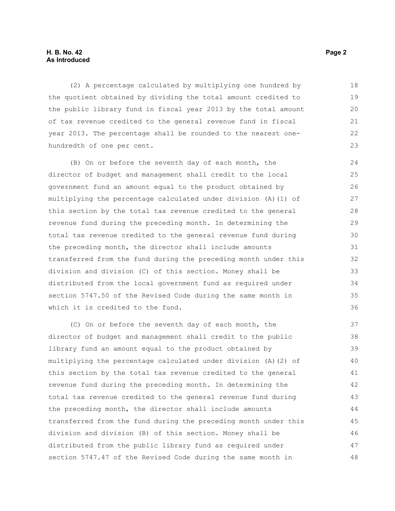#### **H. B. No. 42 Page 2 As Introduced**

(2) A percentage calculated by multiplying one hundred by the quotient obtained by dividing the total amount credited to the public library fund in fiscal year 2013 by the total amount of tax revenue credited to the general revenue fund in fiscal year 2013. The percentage shall be rounded to the nearest onehundredth of one per cent. 18 19 20 21 22 23

(B) On or before the seventh day of each month, the director of budget and management shall credit to the local government fund an amount equal to the product obtained by multiplying the percentage calculated under division (A)(1) of this section by the total tax revenue credited to the general revenue fund during the preceding month. In determining the total tax revenue credited to the general revenue fund during the preceding month, the director shall include amounts transferred from the fund during the preceding month under this division and division (C) of this section. Money shall be distributed from the local government fund as required under section 5747.50 of the Revised Code during the same month in which it is credited to the fund. 24 25 26 27 28 29 30 31 32 33 34 35 36

(C) On or before the seventh day of each month, the director of budget and management shall credit to the public library fund an amount equal to the product obtained by multiplying the percentage calculated under division (A)(2) of this section by the total tax revenue credited to the general revenue fund during the preceding month. In determining the total tax revenue credited to the general revenue fund during the preceding month, the director shall include amounts transferred from the fund during the preceding month under this division and division (B) of this section. Money shall be distributed from the public library fund as required under section 5747.47 of the Revised Code during the same month in 37 38 39 40 41 42 43 44 45 46 47 48